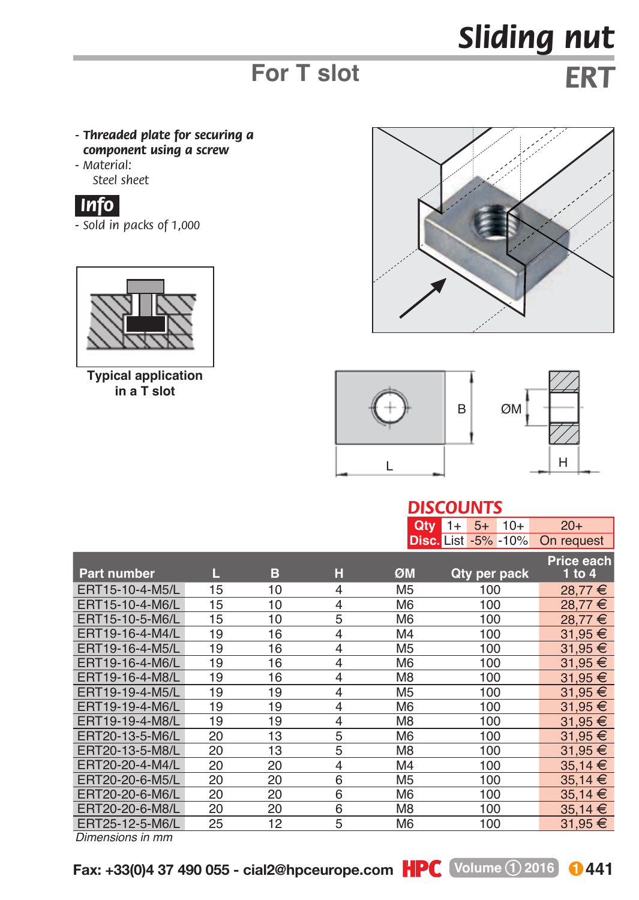## *Sliding nut*

## **For T slot**

*ERT*

- *Threaded plate for securing a component using a screw*
- *M aterial: Steel sheet*



*- Sold in packs of 1,000*



**Typical application in a T slot**





## *DISCOUNTS*

|                    |    |    |                | Qty            | $10+$<br>$5+$<br>$1+$      | $20+$             |
|--------------------|----|----|----------------|----------------|----------------------------|-------------------|
|                    |    |    |                |                | <b>Disc.</b> List -5% -10% | On request        |
|                    |    |    |                |                |                            | <b>Price each</b> |
| <b>Part number</b> | L  | в  | н              | ØM             | Qty per pack               | 1 to 4            |
| ERT15-10-4-M5/L    | 15 | 10 | $\overline{4}$ | M <sub>5</sub> | 100                        | 28,77 €           |
| ERT15-10-4-M6/L    | 15 | 10 | $\overline{4}$ | M <sub>6</sub> | 100                        | 28.77 €           |
| ERT15-10-5-M6/L    | 15 | 10 | 5              | M <sub>6</sub> | 100                        | 28.77 €           |
| ERT19-16-4-M4/L    | 19 | 16 | $\overline{4}$ | M4             | 100                        | 31,95 €           |
| ERT19-16-4-M5/L    | 19 | 16 | $\overline{4}$ | M <sub>5</sub> | 100                        | 31,95 €           |
| ERT19-16-4-M6/L    | 19 | 16 | $\overline{4}$ | M <sub>6</sub> | 100                        | $31.95 \in$       |
| ERT19-16-4-M8/L    | 19 | 16 | $\overline{4}$ | M <sub>8</sub> | 100                        | 31,95 €           |
| ERT19-19-4-M5/L    | 19 | 19 | $\overline{4}$ | M <sub>5</sub> | 100                        | 31.95 €           |
| ERT19-19-4-M6/L    | 19 | 19 | $\overline{4}$ | M <sub>6</sub> | 100                        | 31,95 €           |
| ERT19-19-4-M8/L    | 19 | 19 | $\overline{4}$ | M <sub>8</sub> | 100                        | $31,95 \in$       |
| ERT20-13-5-M6/L    | 20 | 13 | 5              | M <sub>6</sub> | 100                        | $31,95 \in$       |
| ERT20-13-5-M8/L    | 20 | 13 | 5              | M <sub>8</sub> | 100                        | 31,95 €           |
| ERT20-20-4-M4/L    | 20 | 20 | $\overline{4}$ | M4             | 100                        | $35,14 \in$       |
| ERT20-20-6-M5/L    | 20 | 20 | 6              | M <sub>5</sub> | 100                        | 35,14 €           |
| ERT20-20-6-M6/L    | 20 | 20 | 6              | M <sub>6</sub> | 100                        | 35.14 €           |
| ERT20-20-6-M8/L    | 20 | 20 | 6              | M <sub>8</sub> | 100                        | $35,14 \in$       |
| ERT25-12-5-M6/L    | 25 | 12 | 5              | M <sub>6</sub> | 100                        | 31,95 €           |

*Dimensions in mm*